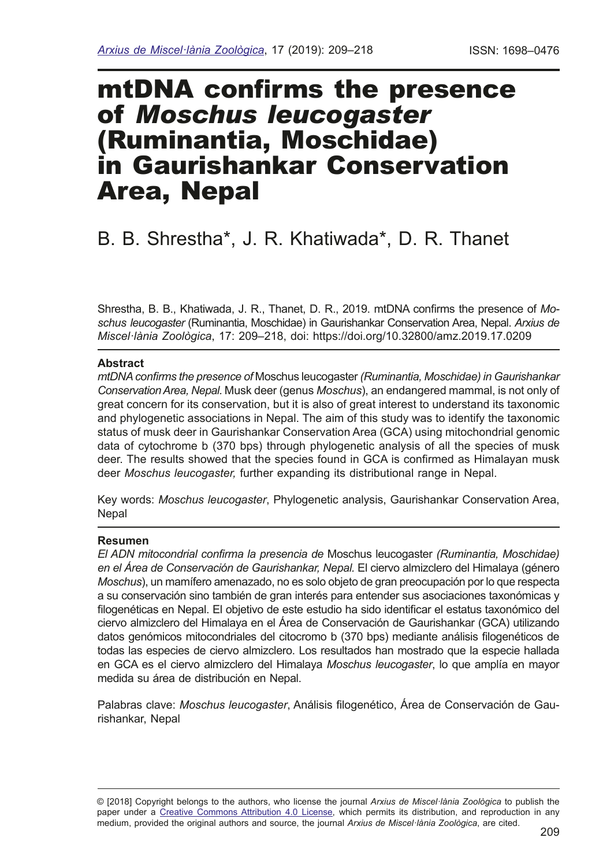# mtDNA confirms the presence of *Moschus leucogaster* (Ruminantia, Moschidae) in Gaurishankar Conservation Area, Nepal

# B. B. Shrestha\*, J. R. Khatiwada\*, D. R. Thanet

Shrestha, B. B., Khatiwada, J. R., Thanet, D. R., 2019. mtDNA confrms the presence of *Moschus leucogaster* (Ruminantia, Moschidae) in Gaurishankar Conservation Area, Nepal. *Arxius de Miscel·lània Zoològica*, 17: 209–218, doi: https://doi.org/10.32800/amz.2019.17.0209

# **Abstract**

*mtDNA confrms the presence of* Moschus leucogaster *(Ruminantia, Moschidae) in Gaurishankar Conservation Area, Nepal.* Musk deer (genus *Moschus*), an endangered mammal, is not only of great concern for its conservation, but it is also of great interest to understand its taxonomic and phylogenetic associations in Nepal. The aim of this study was to identify the taxonomic status of musk deer in Gaurishankar Conservation Area (GCA) using mitochondrial genomic data of cytochrome b (370 bps) through phylogenetic analysis of all the species of musk deer. The results showed that the species found in GCA is confrmed as Himalayan musk deer *Moschus leucogaster,* further expanding its distributional range in Nepal.

Key words: *Moschus leucogaster*, Phylogenetic analysis, Gaurishankar Conservation Area, Nepal

# **Resumen**

*El ADN mitocondrial confrma la presencia de* Moschus leucogaster *(Ruminantia, Moschidae) en el Área de Conservación de Gaurishankar, Nepal.* El ciervo almizclero del Himalaya (género *Moschus*), un mamífero amenazado, no es solo objeto de gran preocupación por lo que respecta a su conservación sino también de gran interés para entender sus asociaciones taxonómicas y flogenéticas en Nepal. El objetivo de este estudio ha sido identifcar el estatus taxonómico del ciervo almizclero del Himalaya en el Área de Conservación de Gaurishankar (GCA) utilizando datos genómicos mitocondriales del citocromo b (370 bps) mediante análisis flogenéticos de todas las especies de ciervo almizclero. Los resultados han mostrado que la especie hallada en GCA es el ciervo almizclero del Himalaya *Moschus leucogaster*, lo que amplía en mayor medida su área de distribución en Nepal.

Palabras clave: *Moschus leucogaster*, Análisis flogenético, Área de Conservación de Gaurishankar, Nepal

<sup>© [2018]</sup> Copyright belongs to the authors, who license the journal *Arxius de Miscel·lània Zoològica* to publish the paper under a [Creative Commons Attribution 4.0 License](http://creativecommons.org/licenses/by/4.0/deed.en), which permits its distribution, and reproduction in any medium, provided the original authors and source, the journal *Arxius de Miscel·lània Zoològica*, are cited.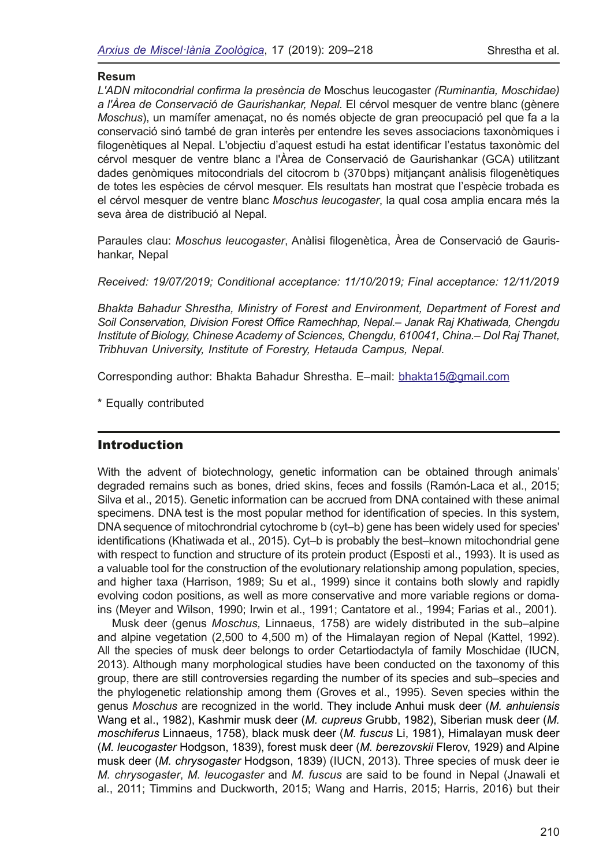### **Resum**

*L'ADN mitocondrial confrma la presència de* Moschus leucogaster *(Ruminantia, Moschidae) a l'Àrea de Conservació de Gaurishankar, Nepal.* El cérvol mesquer de ventre blanc (gènere *Moschus*), un mamífer amenaçat, no és només objecte de gran preocupació pel que fa a la conservació sinó també de gran interès per entendre les seves associacions taxonòmiques i flogenètiques al Nepal. L'objectiu d'aquest estudi ha estat identifcar l'estatus taxonòmic del cérvol mesquer de ventre blanc a l'Àrea de Conservació de Gaurishankar (GCA) utilitzant dades genòmiques mitocondrials del citocrom b (370bps) mitjançant anàlisis flogenètiques de totes les espècies de cérvol mesquer. Els resultats han mostrat que l'espècie trobada es el cérvol mesquer de ventre blanc *Moschus leucogaster*, la qual cosa amplia encara més la seva àrea de distribució al Nepal.

Paraules clau: *Moschus leucogaster*, Anàlisi flogenètica, Àrea de Conservació de Gaurishankar, Nepal

*Received: 19/07/2019; Conditional acceptance: 11/10/2019; Final acceptance: 12/11/2019* 

*Bhakta Bahadur Shrestha, Ministry of Forest and Environment, Department of Forest and Soil Conservation, Division Forest Offce Ramechhap, Nepal.– Janak Raj Khatiwada, Chengdu Institute of Biology, Chinese Academy of Sciences, Chengdu, 610041, China.– Dol Raj Thanet, Tribhuvan University, Institute of Forestry, Hetauda Campus, Nepal.*

Corresponding author: Bhakta Bahadur Shrestha. E–mail: [bhakta15@gmail.com](mailto:bhakta15%40gmail.com?subject=)

\* Equally contributed

# **Introduction**

With the advent of biotechnology, genetic information can be obtained through animals' degraded remains such as bones, dried skins, feces and fossils (Ramón-Laca et al., 2015; Silva et al., 2015). Genetic information can be accrued from DNA contained with these animal specimens. DNA test is the most popular method for identifcation of species. In this system, DNA sequence of mitochrondrial cytochrome b (cyt–b) gene has been widely used for species' identifcations (Khatiwada et al., 2015). Cyt–b is probably the best–known mitochondrial gene with respect to function and structure of its protein product (Esposti et al., 1993). It is used as a valuable tool for the construction of the evolutionary relationship among population, species, and higher taxa (Harrison, 1989; Su et al., 1999) since it contains both slowly and rapidly evolving codon positions, as well as more conservative and more variable regions or domains (Meyer and Wilson, 1990; Irwin et al., 1991; Cantatore et al., 1994; Farias et al., 2001).

Musk deer (genus *Moschus,* Linnaeus, 1758) are widely distributed in the sub–alpine and alpine vegetation (2,500 to 4,500 m) of the Himalayan region of Nepal (Kattel, 1992). All the species of musk deer belongs to order Cetartiodactyla of family Moschidae (IUCN, 2013). Although many morphological studies have been conducted on the taxonomy of this group, there are still controversies regarding the number of its species and sub–species and the phylogenetic relationship among them (Groves et al., 1995). Seven species within the genus *Moschus* are recognized in the world. They include Anhui musk deer (*M. anhuiensis*  Wang et al., 1982), Kashmir musk deer (*M. cupreus* Grubb, 1982), Siberian musk deer (*M. moschiferus* Linnaeus, 1758), black musk deer (*M. fuscus* Li, 1981), Himalayan musk deer (*M. leucogaster* Hodgson, 1839), forest musk deer (*M. berezovskii* Flerov, 1929) and Alpine musk deer (*M. chrysogaster* Hodgson, 1839) (IUCN, 2013). Three species of musk deer ie *M. chrysogaster*, *M. leucogaster* and *M. fuscus* are said to be found in Nepal (Jnawali et al., 2011; Timmins and Duckworth, 2015; Wang and Harris, 2015; Harris, 2016) but their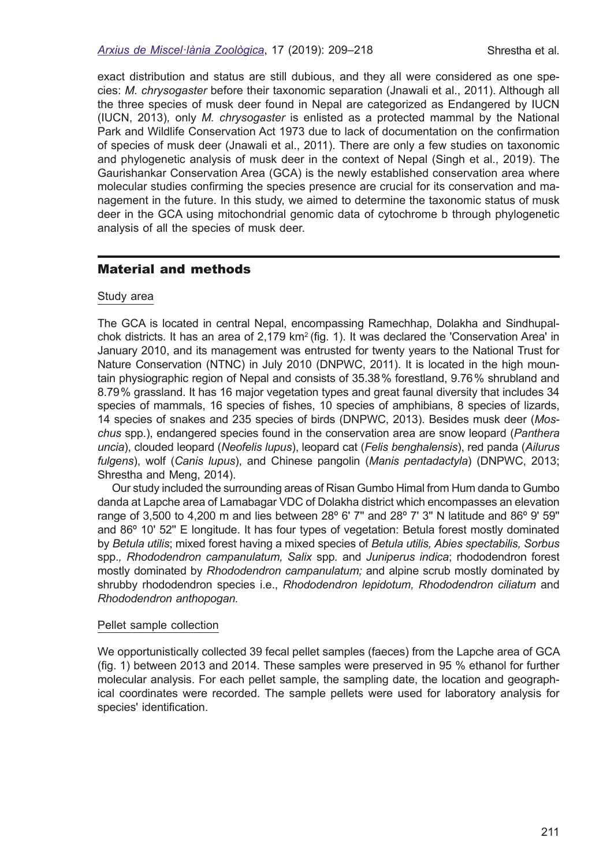# *[Arxius de Miscel·lània Zoològica](http://amz.museucienciesjournals.cat)*, 17 (2019): 209–218 Shrestha et al.

exact distribution and status are still dubious, and they all were considered as one species: *M. chrysogaster* before their taxonomic separation (Jnawali et al., 2011). Although all the three species of musk deer found in Nepal are categorized as Endangered by IUCN (IUCN, 2013)*,* only *M. chrysogaster* is enlisted as a protected mammal by the National Park and Wildlife Conservation Act 1973 due to lack of documentation on the confrmation of species of musk deer (Jnawali et al., 2011). There are only a few studies on taxonomic and phylogenetic analysis of musk deer in the context of Nepal (Singh et al., 2019). The Gaurishankar Conservation Area (GCA) is the newly established conservation area where molecular studies confrming the species presence are crucial for its conservation and management in the future. In this study, we aimed to determine the taxonomic status of musk deer in the GCA using mitochondrial genomic data of cytochrome b through phylogenetic analysis of all the species of musk deer.

# Material and methods

#### Study area

The GCA is located in central Nepal, encompassing Ramechhap, Dolakha and Sindhupalchok districts. It has an area of 2,179 km<sup>2</sup> (fig. 1). It was declared the 'Conservation Area' in January 2010, and its management was entrusted for twenty years to the National Trust for Nature Conservation (NTNC) in July 2010 (DNPWC, 2011). It is located in the high mountain physiographic region of Nepal and consists of 35.38% forestland, 9.76% shrubland and 8.79% grassland. It has 16 major vegetation types and great faunal diversity that includes 34 species of mammals, 16 species of fshes, 10 species of amphibians, 8 species of lizards, 14 species of snakes and 235 species of birds (DNPWC, 2013). Besides musk deer (*Moschus* spp.), endangered species found in the conservation area are snow leopard (*Panthera uncia*), clouded leopard (*Neofelis lupus*), leopard cat (*Felis benghalensis*), red panda (*Ailurus fulgens*), wolf (*Canis lupus*), and Chinese pangolin (*Manis pentadactyla*) (DNPWC, 2013; Shrestha and Meng, 2014).

Our study included the surrounding areas of Risan Gumbo Himal from Hum danda to Gumbo danda at Lapche area of Lamabagar VDC of Dolakha district which encompasses an elevation range of 3,500 to 4,200 m and lies between 28 $^{\circ}$  6' 7" and 28 $^{\circ}$  7' 3" N latitude and 86 $^{\circ}$  9' 59" and 86º 10' 52'' E longitude. It has four types of vegetation: Betula forest mostly dominated by *Betula utilis*; mixed forest having a mixed species of *Betula utilis, Abies spectabilis, Sorbus*  spp.*, Rhododendron campanulatum, Salix* spp*.* and *Juniperus indica*; rhododendron forest mostly dominated by *Rhododendron campanulatum;* and alpine scrub mostly dominated by shrubby rhododendron species i.e., *Rhododendron lepidotum, Rhododendron ciliatum* and *Rhododendron anthopogan.*

### Pellet sample collection

We opportunistically collected 39 fecal pellet samples (faeces) from the Lapche area of GCA (fg. 1) between 2013 and 2014. These samples were preserved in 95 % ethanol for further molecular analysis. For each pellet sample, the sampling date, the location and geographical coordinates were recorded. The sample pellets were used for laboratory analysis for species' identification.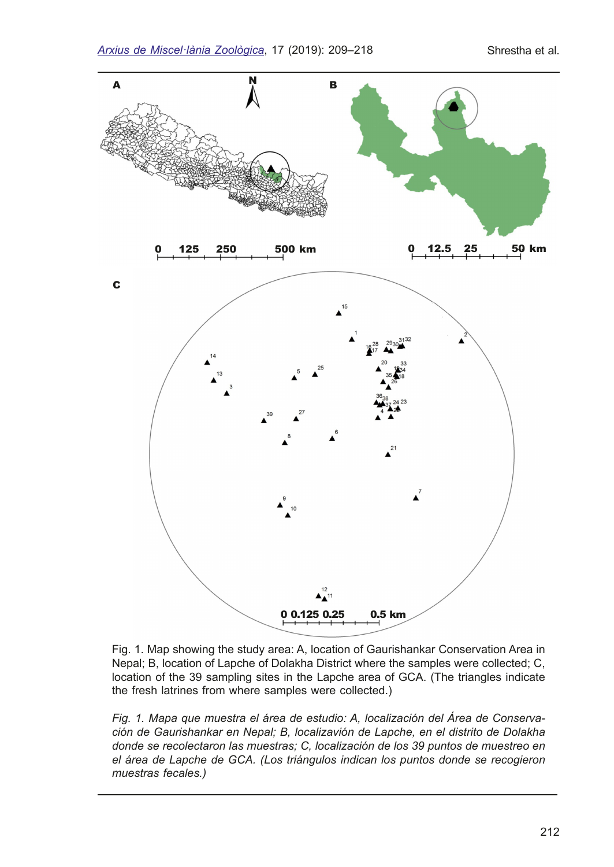

Fig. 1. Map showing the study area: A, location of Gaurishankar Conservation Area in Nepal; B, location of Lapche of Dolakha District where the samples were collected; C, location of the 39 sampling sites in the Lapche area of GCA. (The triangles indicate the fresh latrines from where samples were collected.)

*Fig. 1. Mapa que muestra el área de estudio: A, localización del Área de Conservación de Gaurishankar en Nepal; B, localizavión de Lapche, en el distrito de Dolakha donde se recolectaron las muestras; C, localización de los 39 puntos de muestreo en el área de Lapche de GCA. (Los triángulos indican los puntos donde se recogieron muestras fecales.)*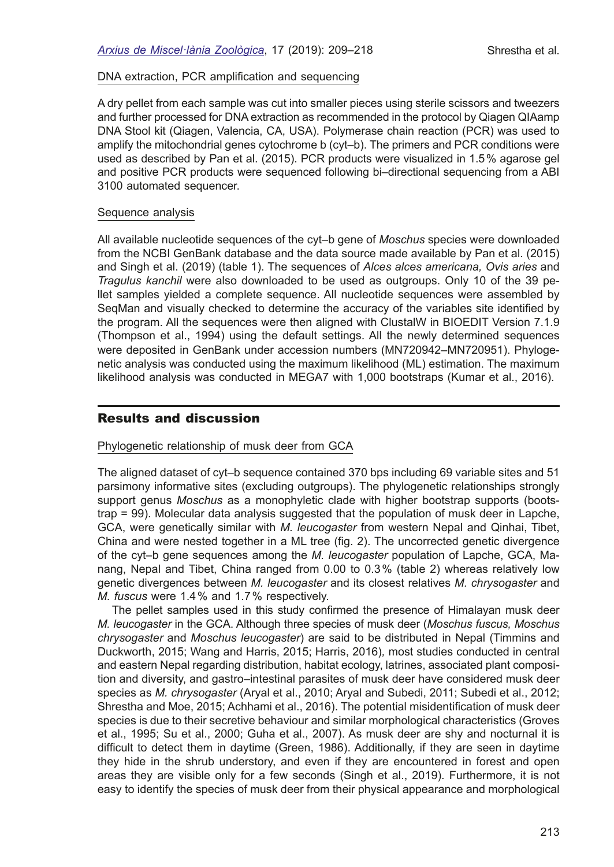# DNA extraction, PCR amplification and sequencing

A dry pellet from each sample was cut into smaller pieces using sterile scissors and tweezers and further processed for DNA extraction as recommended in the protocol by Qiagen QIAamp DNA Stool kit (Qiagen, Valencia, CA, USA). Polymerase chain reaction (PCR) was used to amplify the mitochondrial genes cytochrome b (cyt–b). The primers and PCR conditions were used as described by Pan et al. (2015). PCR products were visualized in 1.5% agarose gel and positive PCR products were sequenced following bi–directional sequencing from a ABI 3100 automated sequencer.

# Sequence analysis

All available nucleotide sequences of the cyt–b gene of *Moschus* species were downloaded from the NCBI GenBank database and the data source made available by Pan et al. (2015) and Singh et al. (2019) (table 1). The sequences of *Alces alces americana, Ovis aries* and *Tragulus kanchil* were also downloaded to be used as outgroups. Only 10 of the 39 pellet samples yielded a complete sequence. All nucleotide sequences were assembled by SeqMan and visually checked to determine the accuracy of the variables site identifed by the program. All the sequences were then aligned with ClustalW in BIOEDIT Version 7.1.9 (Thompson et al., 1994) using the default settings. All the newly determined sequences were deposited in GenBank under accession numbers (MN720942–MN720951). Phylogenetic analysis was conducted using the maximum likelihood (ML) estimation. The maximum likelihood analysis was conducted in MEGA7 with 1,000 bootstraps (Kumar et al., 2016).

# Results and discussion

# Phylogenetic relationship of musk deer from GCA

The aligned dataset of cyt–b sequence contained 370 bps including 69 variable sites and 51 parsimony informative sites (excluding outgroups). The phylogenetic relationships strongly support genus *Moschus* as a monophyletic clade with higher bootstrap supports (bootstrap = 99). Molecular data analysis suggested that the population of musk deer in Lapche, GCA, were genetically similar with *M. leucogaster* from western Nepal and Qinhai, Tibet, China and were nested together in a ML tree (fg. 2). The uncorrected genetic divergence of the cyt–b gene sequences among the *M. leucogaster* population of Lapche, GCA, Manang, Nepal and Tibet, China ranged from 0.00 to 0.3% (table 2) whereas relatively low genetic divergences between *M. leucogaster* and its closest relatives *M. chrysogaster* and *M. fuscus* were 1.4% and 1.7% respectively.

The pellet samples used in this study confrmed the presence of Himalayan musk deer *M. leucogaster* in the GCA. Although three species of musk deer (*Moschus fuscus, Moschus chrysogaster* and *Moschus leucogaster*) are said to be distributed in Nepal (Timmins and Duckworth, 2015; Wang and Harris, 2015; Harris, 2016)*,* most studies conducted in central and eastern Nepal regarding distribution, habitat ecology, latrines, associated plant composition and diversity, and gastro–intestinal parasites of musk deer have considered musk deer species as *M. chrysogaster* (Aryal et al., 2010; Aryal and Subedi, 2011; Subedi et al., 2012; Shrestha and Moe, 2015; Achhami et al., 2016). The potential misidentifcation of musk deer species is due to their secretive behaviour and similar morphological characteristics (Groves et al., 1995; Su et al., 2000; Guha et al., 2007). As musk deer are shy and nocturnal it is diffcult to detect them in daytime (Green, 1986). Additionally, if they are seen in daytime they hide in the shrub understory, and even if they are encountered in forest and open areas they are visible only for a few seconds (Singh et al., 2019). Furthermore, it is not easy to identify the species of musk deer from their physical appearance and morphological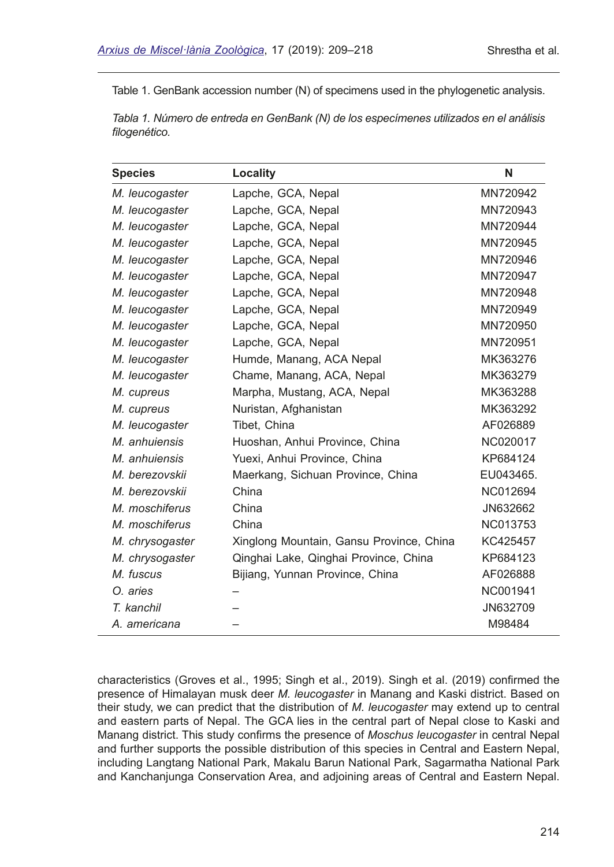Table 1. GenBank accession number (N) of specimens used in the phylogenetic analysis.

*Tabla 1. Número de entreda en GenBank (N) de los especímenes utilizados en el análisis flogenético.*

| <b>Species</b>  | Locality                                 |           |  |  |  |  |  |
|-----------------|------------------------------------------|-----------|--|--|--|--|--|
| M. leucogaster  | Lapche, GCA, Nepal                       | MN720942  |  |  |  |  |  |
| M. leucogaster  | Lapche, GCA, Nepal                       | MN720943  |  |  |  |  |  |
| M. leucogaster  | Lapche, GCA, Nepal                       | MN720944  |  |  |  |  |  |
| M. leucogaster  | Lapche, GCA, Nepal                       | MN720945  |  |  |  |  |  |
| M. leucogaster  | Lapche, GCA, Nepal                       | MN720946  |  |  |  |  |  |
| M. leucogaster  | Lapche, GCA, Nepal                       | MN720947  |  |  |  |  |  |
| M. leucogaster  | Lapche, GCA, Nepal                       | MN720948  |  |  |  |  |  |
| M. leucogaster  | Lapche, GCA, Nepal                       | MN720949  |  |  |  |  |  |
| M. leucogaster  | Lapche, GCA, Nepal                       | MN720950  |  |  |  |  |  |
| M. leucogaster  | Lapche, GCA, Nepal                       | MN720951  |  |  |  |  |  |
| M. leucogaster  | Humde, Manang, ACA Nepal                 | MK363276  |  |  |  |  |  |
| M. leucogaster  | Chame, Manang, ACA, Nepal                | MK363279  |  |  |  |  |  |
| M. cupreus      | Marpha, Mustang, ACA, Nepal              | MK363288  |  |  |  |  |  |
| M. cupreus      | Nuristan, Afghanistan                    | MK363292  |  |  |  |  |  |
| M. leucogaster  | Tibet, China                             | AF026889  |  |  |  |  |  |
| M. anhuiensis   | Huoshan, Anhui Province, China           | NC020017  |  |  |  |  |  |
| M. anhuiensis   | Yuexi, Anhui Province, China             | KP684124  |  |  |  |  |  |
| M. berezovskij  | Maerkang, Sichuan Province, China        | EU043465. |  |  |  |  |  |
| M. berezovskij  | China                                    | NC012694  |  |  |  |  |  |
| M. moschiferus  | China                                    | JN632662  |  |  |  |  |  |
| M. moschiferus  | China                                    | NC013753  |  |  |  |  |  |
| M. chrysogaster | Xinglong Mountain, Gansu Province, China | KC425457  |  |  |  |  |  |
| M. chrysogaster | Qinghai Lake, Qinghai Province, China    | KP684123  |  |  |  |  |  |
| M. fuscus       | Bijiang, Yunnan Province, China          | AF026888  |  |  |  |  |  |
| O. aries        |                                          | NC001941  |  |  |  |  |  |
| T. kanchil      |                                          | JN632709  |  |  |  |  |  |
| A. americana    |                                          | M98484    |  |  |  |  |  |

characteristics (Groves et al., 1995; Singh et al., 2019). Singh et al. (2019) confrmed the presence of Himalayan musk deer *M. leucogaster* in Manang and Kaski district. Based on their study, we can predict that the distribution of *M. leucogaster* may extend up to central and eastern parts of Nepal. The GCA lies in the central part of Nepal close to Kaski and Manang district. This study confrms the presence of *Moschus leucogaster* in central Nepal and further supports the possible distribution of this species in Central and Eastern Nepal, including Langtang National Park, Makalu Barun National Park, Sagarmatha National Park and Kanchanjunga Conservation Area, and adjoining areas of Central and Eastern Nepal.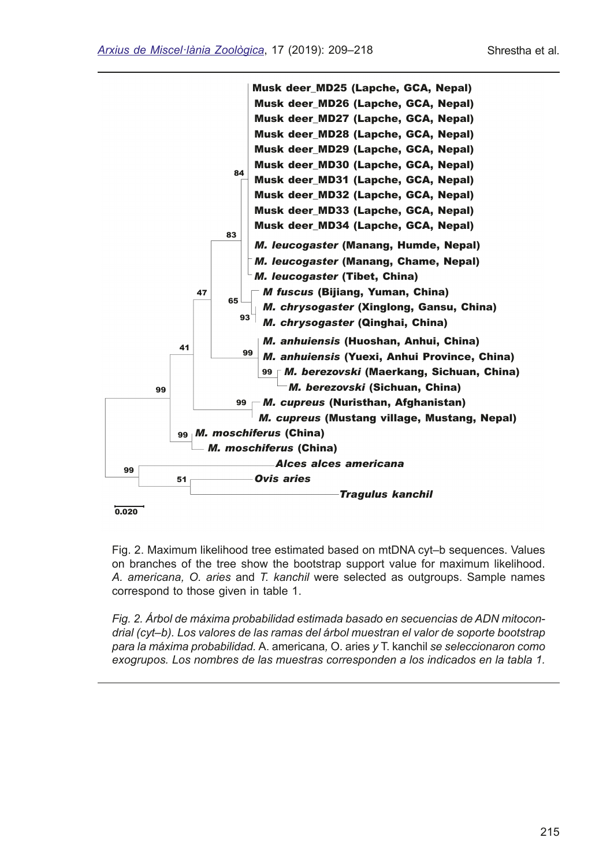

Fig. 2. Maximum likelihood tree estimated based on mtDNA cyt–b sequences. Values on branches of the tree show the bootstrap support value for maximum likelihood. *A. americana, O. aries* and *T. kanchil* were selected as outgroups. Sample names correspond to those given in table 1.

*Fig. 2. Árbol de máxima probabilidad estimada basado en secuencias de ADN mitocondrial (cyt–b). Los valores de las ramas del árbol muestran el valor de soporte bootstrap para la máxima probabilidad.* A. americana*,* O. aries *y* T. kanchil *se seleccionaron como exogrupos. Los nombres de las muestras corresponden a los indicados en la tabla 1.*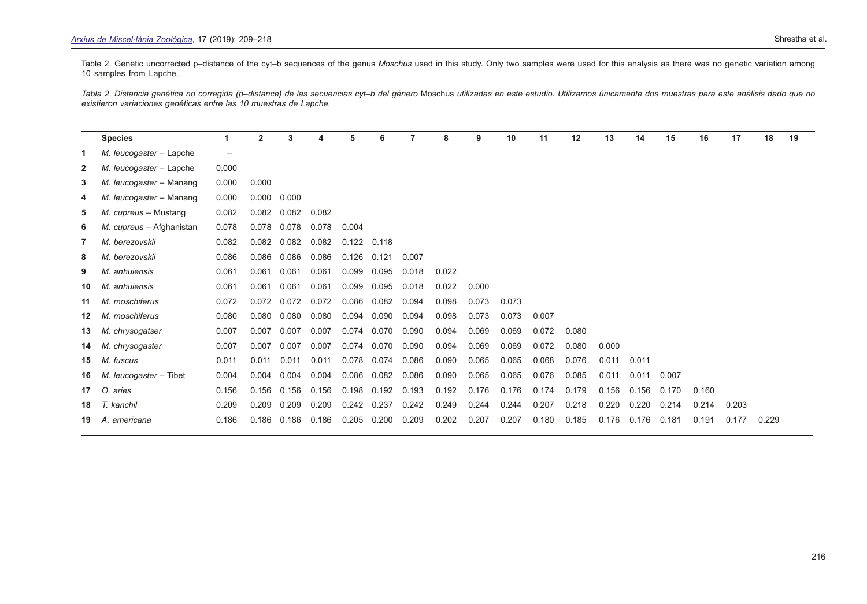Table 2. Genetic uncorrected p–distance of the cyt–b sequences of the genus *Moschus* used in this study. Only two samples were used for this analysis as there was no genetic variation among 10 samples from Lapche.

Tabla 2. Distancia genética no corregida (p–distance) de las secuencias cyt–b del género Moschus utilizadas en este estudio. Utilizamos únicamente dos muestras para este análisis dado que no *existieron variaciones genéticas entre las 10 muestras de Lapche.*

|              | <b>Species</b>           | 1.                       | $\overline{2}$ | 3     | 4     | 5.    | 6     |       | 8     | 9     | 10    | 11    | 12    | 13    | 14    | 15    | 16    | 17    | 18    | 19 |
|--------------|--------------------------|--------------------------|----------------|-------|-------|-------|-------|-------|-------|-------|-------|-------|-------|-------|-------|-------|-------|-------|-------|----|
| 1            | M. leucogaster - Lapche  | $\overline{\phantom{0}}$ |                |       |       |       |       |       |       |       |       |       |       |       |       |       |       |       |       |    |
| $\mathbf{2}$ | M. leucogaster - Lapche  | 0.000                    |                |       |       |       |       |       |       |       |       |       |       |       |       |       |       |       |       |    |
| 3            | M. leucogaster – Manang  | 0.000                    | 0.000          |       |       |       |       |       |       |       |       |       |       |       |       |       |       |       |       |    |
| 4            | M. leucogaster - Manang  | 0.000                    | 0.000          | 0.000 |       |       |       |       |       |       |       |       |       |       |       |       |       |       |       |    |
| 5            | M. cupreus - Mustang     | 0.082                    | 0.082          | 0.082 | 0.082 |       |       |       |       |       |       |       |       |       |       |       |       |       |       |    |
| 6            | M. cupreus - Afghanistan | 0.078                    | 0.078          | 0.078 | 0.078 | 0.004 |       |       |       |       |       |       |       |       |       |       |       |       |       |    |
| 7            | M. berezovskij           | 0.082                    | 0.082          | 0.082 | 0.082 | 0.122 | 0.118 |       |       |       |       |       |       |       |       |       |       |       |       |    |
| 8            | M. berezovskij           | 0.086                    | 0.086          | 0.086 | 0.086 | 0.126 | 0.121 | 0.007 |       |       |       |       |       |       |       |       |       |       |       |    |
| 9            | M. anhuiensis            | 0.061                    | 0.061          | 0.061 | 0.061 | 0.099 | 0.095 | 0.018 | 0.022 |       |       |       |       |       |       |       |       |       |       |    |
| 10           | M. anhuiensis            | 0.061                    | 0.061          | 0.061 | 0.061 | 0.099 | 0.095 | 0.018 | 0.022 | 0.000 |       |       |       |       |       |       |       |       |       |    |
| 11           | M. moschiferus           | 0.072                    | 0.072          | 0.072 | 0.072 | 0.086 | 0.082 | 0.094 | 0.098 | 0.073 | 0.073 |       |       |       |       |       |       |       |       |    |
| $12 \,$      | M. moschiferus           | 0.080                    | 0.080          | 0.080 | 0.080 | 0.094 | 0.090 | 0.094 | 0.098 | 0.073 | 0.073 | 0.007 |       |       |       |       |       |       |       |    |
| 13           | M. chrysogatser          | 0.007                    | 0.007          | 0.007 | 0.007 | 0.074 | 0.070 | 0.090 | 0.094 | 0.069 | 0.069 | 0.072 | 0.080 |       |       |       |       |       |       |    |
| 14           | M. chrysogaster          | 0.007                    | 0.007          | 0.007 | 0.007 | 0.074 | 0.070 | 0.090 | 0.094 | 0.069 | 0.069 | 0.072 | 0.080 | 0.000 |       |       |       |       |       |    |
| 15           | M. fuscus                | 0.011                    | 0.011          | 0.011 | 0.011 | 0.078 | 0.074 | 0.086 | 0.090 | 0.065 | 0.065 | 0.068 | 0.076 | 0.011 | 0.011 |       |       |       |       |    |
| 16           | M. leucogaster - Tibet   | 0.004                    | 0.004          | 0.004 | 0.004 | 0.086 | 0.082 | 0.086 | 0.090 | 0.065 | 0.065 | 0.076 | 0.085 | 0.011 | 0.011 | 0.007 |       |       |       |    |
| 17           | O. aries                 | 0.156                    | 0.156          | 0.156 | 0.156 | 0.198 | 0.192 | 0.193 | 0.192 | 0.176 | 0.176 | 0.174 | 0.179 | 0.156 | 0.156 | 0.170 | 0.160 |       |       |    |
| 18           | T. kanchil               | 0.209                    | 0.209          | 0.209 | 0.209 | 0.242 | 0.237 | 0.242 | 0.249 | 0.244 | 0.244 | 0.207 | 0.218 | 0.220 | 0.220 | 0.214 | 0.214 | 0.203 |       |    |
| 19           | A. americana             | 0.186                    | 0.186          | 0.186 | 0.186 | 0.205 | 0.200 | 0.209 | 0.202 | 0.207 | 0.207 | 0.180 | 0.185 | 0.176 | 0.176 | 0.181 | 0.191 | 0.177 | 0.229 |    |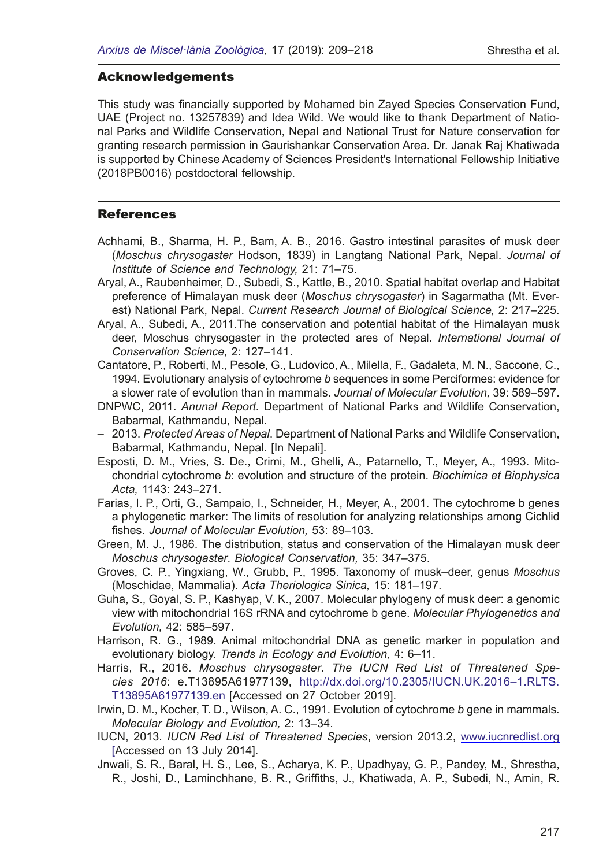# Acknowledgements

This study was fnancially supported by Mohamed bin Zayed Species Conservation Fund, UAE (Project no. 13257839) and Idea Wild. We would like to thank Department of National Parks and Wildlife Conservation, Nepal and National Trust for Nature conservation for granting research permission in Gaurishankar Conservation Area. Dr. Janak Raj Khatiwada is supported by Chinese Academy of Sciences President's International Fellowship Initiative (2018PB0016) postdoctoral fellowship.

# **References**

- Achhami, B., Sharma, H. P., Bam, A. B., 2016. Gastro intestinal parasites of musk deer (*Moschus chrysogaster* Hodson, 1839) in Langtang National Park, Nepal. *Journal of Institute of Science and Technology,* 21: 71–75.
- Aryal, A., Raubenheimer, D., Subedi, S., Kattle, B., 2010. Spatial habitat overlap and Habitat preference of Himalayan musk deer (*Moschus chrysogaster*) in Sagarmatha (Mt. Everest) National Park, Nepal. *Current Research Journal of Biological Science,* 2: 217–225.
- Aryal, A., Subedi, A., 2011.The conservation and potential habitat of the Himalayan musk deer, Moschus chrysogaster in the protected ares of Nepal. *International Journal of Conservation Science,* 2: 127–141.
- Cantatore, P., Roberti, M., Pesole, G., Ludovico, A., Milella, F., Gadaleta, M. N., Saccone, C., 1994. Evolutionary analysis of cytochrome *b* sequences in some Perciformes: evidence for a slower rate of evolution than in mammals. *Journal of Molecular Evolution,* 39: 589–597.
- DNPWC, 2011. *Anunal Report.* Department of National Parks and Wildlife Conservation, Babarmal, Kathmandu, Nepal.
- 2013. *Protected Areas of Nepal*. Department of National Parks and Wildlife Conservation, Babarmal, Kathmandu, Nepal. [In Nepali].
- Esposti, D. M., Vries, S. De., Crimi, M., Ghelli, A., Patarnello, T., Meyer, A., 1993. Mitochondrial cytochrome *b*: evolution and structure of the protein. *Biochimica et Biophysica Acta,* 1143: 243–271.
- Farias, I. P., Orti, G., Sampaio, I., Schneider, H., Meyer, A., 2001. The cytochrome b genes a phylogenetic marker: The limits of resolution for analyzing relationships among Cichlid fshes. *Journal of Molecular Evolution,* 53: 89–103.
- Green, M. J., 1986. The distribution, status and conservation of the Himalayan musk deer *Moschus chrysogaster*. *Biological Conservation,* 35: 347–375.
- Groves, C. P., Yingxiang, W., Grubb, P., 1995. Taxonomy of musk–deer, genus *Moschus*  (Moschidae, Mammalia). *Acta Theriologica Sinica,* 15: 181–197.
- Guha, S., Goyal, S. P., Kashyap, V. K., 2007. Molecular phylogeny of musk deer: a genomic view with mitochondrial 16S rRNA and cytochrome b gene. *Molecular Phylogenetics and Evolution,* 42: 585–597.
- Harrison, R. G., 1989. Animal mitochondrial DNA as genetic marker in population and evolutionary biology. *Trends in Ecology and Evolution,* 4: 6–11.
- Harris, R., 2016. *Moschus chrysogaster*. *The IUCN Red List of Threatened Species 2016*: e.T13895A61977139, [http://dx.doi.org/10.2305/IUCN.UK.2016–1.RLTS.](http://dx.doi.org/10.2305/IUCN.UK.2016-1.RLTS.T13895A61977139.en) [T13895A61977139.en](http://dx.doi.org/10.2305/IUCN.UK.2016-1.RLTS.T13895A61977139.en) [Accessed on 27 October 2019].
- Irwin, D. M., Kocher, T. D., Wilson, A. C., 1991. Evolution of cytochrome *b* gene in mammals. *Molecular Biology and Evolution,* 2: 13–34.
- IUCN, 2013. *IUCN Red List of Threatened Species*, version 2013.2, [www.iucnredlist.org](http://www.iucnredlist.org) [Accessed on 13 July 2014].
- Jnwali, S. R., Baral, H. S., Lee, S., Acharya, K. P., Upadhyay, G. P., Pandey, M., Shrestha, R., Joshi, D., Laminchhane, B. R., Griffths, J., Khatiwada, A. P., Subedi, N., Amin, R.